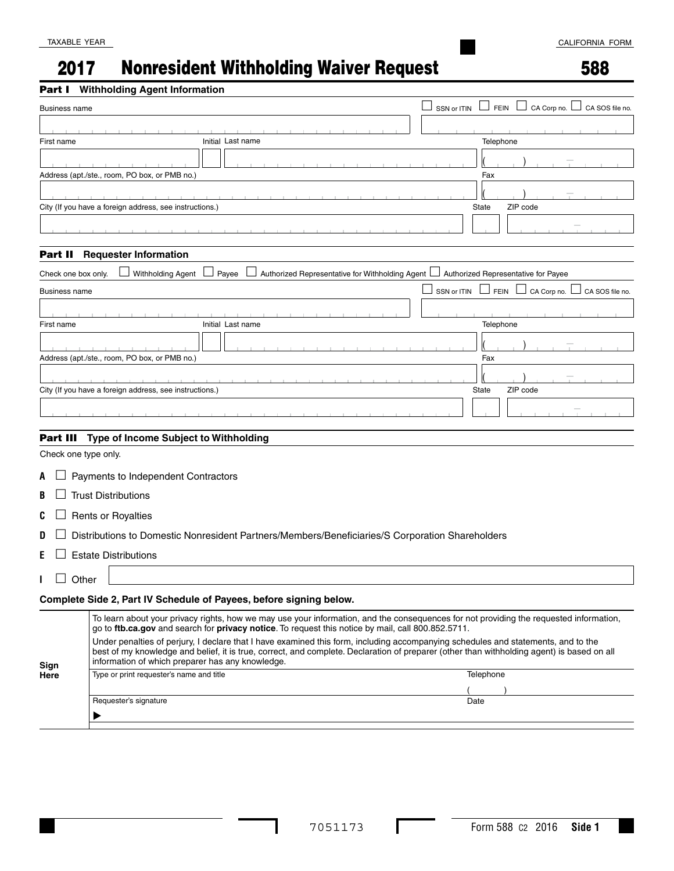# 2017 Nonresident Withholding Waiver Request

#### Part I **Withholding Agent Information**

Requester's signature

 $\blacktriangleright$ 

|                      | art I withholding Agent Information                                                                                                                                                                                                                                                                                                 |                                                              |
|----------------------|-------------------------------------------------------------------------------------------------------------------------------------------------------------------------------------------------------------------------------------------------------------------------------------------------------------------------------------|--------------------------------------------------------------|
| <b>Business name</b> |                                                                                                                                                                                                                                                                                                                                     | <b>FEIN</b><br>CA Corp no.<br>SSN or ITIN<br>CA SOS file no. |
|                      |                                                                                                                                                                                                                                                                                                                                     |                                                              |
| First name           | Initial Last name                                                                                                                                                                                                                                                                                                                   | Telephone                                                    |
|                      |                                                                                                                                                                                                                                                                                                                                     |                                                              |
|                      | Address (apt./ste., room, PO box, or PMB no.)                                                                                                                                                                                                                                                                                       | Fax                                                          |
|                      |                                                                                                                                                                                                                                                                                                                                     |                                                              |
|                      |                                                                                                                                                                                                                                                                                                                                     |                                                              |
|                      | City (If you have a foreign address, see instructions.)                                                                                                                                                                                                                                                                             | ZIP code<br><b>State</b>                                     |
|                      |                                                                                                                                                                                                                                                                                                                                     |                                                              |
|                      |                                                                                                                                                                                                                                                                                                                                     |                                                              |
| Part II              | <b>Requester Information</b>                                                                                                                                                                                                                                                                                                        |                                                              |
| Check one box only.  | Authorized Representative for Withholding Agent<br>Withholding Agent<br>Payee                                                                                                                                                                                                                                                       | Authorized Representative for Payee                          |
| Business name        |                                                                                                                                                                                                                                                                                                                                     | FEIN  <br>CA Corp no.  <br>CA SOS file no.<br>SSN or ITIN    |
|                      |                                                                                                                                                                                                                                                                                                                                     |                                                              |
| First name           | Initial Last name                                                                                                                                                                                                                                                                                                                   | Telephone                                                    |
|                      |                                                                                                                                                                                                                                                                                                                                     |                                                              |
|                      | Address (apt./ste., room, PO box, or PMB no.)                                                                                                                                                                                                                                                                                       | Fax                                                          |
|                      |                                                                                                                                                                                                                                                                                                                                     |                                                              |
|                      | City (If you have a foreign address, see instructions.)                                                                                                                                                                                                                                                                             | ZIP code<br><b>State</b>                                     |
|                      |                                                                                                                                                                                                                                                                                                                                     |                                                              |
|                      |                                                                                                                                                                                                                                                                                                                                     |                                                              |
| Part III             | Type of Income Subject to Withholding                                                                                                                                                                                                                                                                                               |                                                              |
| Check one type only. |                                                                                                                                                                                                                                                                                                                                     |                                                              |
|                      |                                                                                                                                                                                                                                                                                                                                     |                                                              |
| A                    | Payments to Independent Contractors                                                                                                                                                                                                                                                                                                 |                                                              |
| B                    | <b>Trust Distributions</b>                                                                                                                                                                                                                                                                                                          |                                                              |
| C                    | <b>Rents or Royalties</b>                                                                                                                                                                                                                                                                                                           |                                                              |
| D                    | Distributions to Domestic Nonresident Partners/Members/Beneficiaries/S Corporation Shareholders                                                                                                                                                                                                                                     |                                                              |
| Е                    | <b>Estate Distributions</b>                                                                                                                                                                                                                                                                                                         |                                                              |
|                      |                                                                                                                                                                                                                                                                                                                                     |                                                              |
| Other                |                                                                                                                                                                                                                                                                                                                                     |                                                              |
|                      | Complete Side 2, Part IV Schedule of Payees, before signing below.                                                                                                                                                                                                                                                                  |                                                              |
|                      | To learn about your privacy rights, how we may use your information, and the consequences for not providing the requested information,<br>go to ftb.ca.gov and search for privacy notice. To request this notice by mail, call 800.852.5711.                                                                                        |                                                              |
| Sign                 | Under penalties of perjury, I declare that I have examined this form, including accompanying schedules and statements, and to the<br>best of my knowledge and belief, it is true, correct, and complete. Declaration of preparer (other than withholding agent) is based on all<br>information of which preparer has any knowledge. |                                                              |
| Here                 | Type or print requester's name and title                                                                                                                                                                                                                                                                                            | Telephone                                                    |
|                      |                                                                                                                                                                                                                                                                                                                                     |                                                              |

I

Date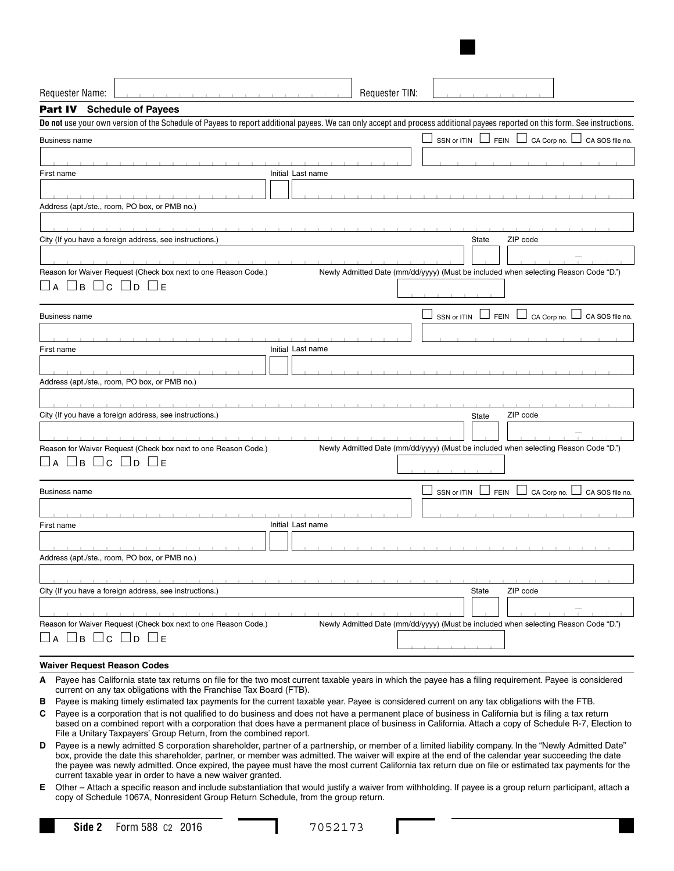| Requester Name:                                                                                                                                                      | Requester TIN:                                                                                                                                                               |  |  |  |
|----------------------------------------------------------------------------------------------------------------------------------------------------------------------|------------------------------------------------------------------------------------------------------------------------------------------------------------------------------|--|--|--|
| Part IV Schedule of Payees                                                                                                                                           |                                                                                                                                                                              |  |  |  |
|                                                                                                                                                                      | Do not use your own version of the Schedule of Payees to report additional payees. We can only accept and process additional payees reported on this form. See instructions. |  |  |  |
| <b>Business name</b>                                                                                                                                                 | SSN or ITIN L<br>$CA$ Corp no. $\Box$<br>FEIN I<br>CA SOS file no.                                                                                                           |  |  |  |
|                                                                                                                                                                      |                                                                                                                                                                              |  |  |  |
| Initial Last name<br>First name                                                                                                                                      |                                                                                                                                                                              |  |  |  |
|                                                                                                                                                                      |                                                                                                                                                                              |  |  |  |
| Address (apt./ste., room, PO box, or PMB no.)                                                                                                                        |                                                                                                                                                                              |  |  |  |
|                                                                                                                                                                      |                                                                                                                                                                              |  |  |  |
| City (If you have a foreign address, see instructions.)                                                                                                              | ZIP code<br>State                                                                                                                                                            |  |  |  |
|                                                                                                                                                                      |                                                                                                                                                                              |  |  |  |
| Reason for Waiver Request (Check box next to one Reason Code.)                                                                                                       | Newly Admitted Date (mm/dd/yyyy) (Must be included when selecting Reason Code "D.")                                                                                          |  |  |  |
| $\Box$ B $\Box$ C $\Box$ D $\Box$ E<br>∟l A                                                                                                                          |                                                                                                                                                                              |  |  |  |
|                                                                                                                                                                      |                                                                                                                                                                              |  |  |  |
| <b>Business name</b>                                                                                                                                                 | SSN or ITIN<br><b>FEIN</b><br>CA Corp no. L<br>CA SOS file no.                                                                                                               |  |  |  |
|                                                                                                                                                                      |                                                                                                                                                                              |  |  |  |
| Initial Last name<br>First name                                                                                                                                      |                                                                                                                                                                              |  |  |  |
|                                                                                                                                                                      |                                                                                                                                                                              |  |  |  |
| Address (apt./ste., room, PO box, or PMB no.)                                                                                                                        |                                                                                                                                                                              |  |  |  |
|                                                                                                                                                                      |                                                                                                                                                                              |  |  |  |
| City (If you have a foreign address, see instructions.)                                                                                                              | ZIP code<br>State                                                                                                                                                            |  |  |  |
|                                                                                                                                                                      |                                                                                                                                                                              |  |  |  |
|                                                                                                                                                                      |                                                                                                                                                                              |  |  |  |
| Reason for Waiver Request (Check box next to one Reason Code.)<br>$\square$ b $\square$ c $\square$ d $\square$ e                                                    | Newly Admitted Date (mm/dd/yyyy) (Must be included when selecting Reason Code "D.")                                                                                          |  |  |  |
| A                                                                                                                                                                    |                                                                                                                                                                              |  |  |  |
| <b>Business name</b>                                                                                                                                                 | SSN or ITIN<br>CA Corp no.<br>CA SOS file no.<br><b>FEIN</b>                                                                                                                 |  |  |  |
|                                                                                                                                                                      |                                                                                                                                                                              |  |  |  |
| Initial Last name<br>First name                                                                                                                                      |                                                                                                                                                                              |  |  |  |
|                                                                                                                                                                      |                                                                                                                                                                              |  |  |  |
| Address (apt./ste., room, PO box, or PMB no.)                                                                                                                        |                                                                                                                                                                              |  |  |  |
|                                                                                                                                                                      |                                                                                                                                                                              |  |  |  |
| City (If you have a foreign address, see instructions.)                                                                                                              | ZIP code                                                                                                                                                                     |  |  |  |
|                                                                                                                                                                      | State                                                                                                                                                                        |  |  |  |
|                                                                                                                                                                      |                                                                                                                                                                              |  |  |  |
| Reason for Waiver Request (Check box next to one Reason Code.)<br>Newly Admitted Date (mm/dd/yyyy) (Must be included when selecting Reason Code "D.")<br>□b □c □d □e |                                                                                                                                                                              |  |  |  |
| $\Box$ A                                                                                                                                                             |                                                                                                                                                                              |  |  |  |
| Waiver Pequest Pesson Codes                                                                                                                                          |                                                                                                                                                                              |  |  |  |

#### **Waiver Request Reason Codes**

- **A** Payee has California state tax returns on file for the two most current taxable years in which the payee has a filing requirement. Payee is considered current on any tax obligations with the Franchise Tax Board (FTB).
- **B** Payee is making timely estimated tax payments for the current taxable year. Payee is considered current on any tax obligations with the FTB.
- **C** Payee is a corporation that is not qualified to do business and does not have a permanent place of business in California but is filing a tax return based on a combined report with a corporation that does have a permanent place of business in California. Attach a copy of Schedule R-7, Election to File a Unitary Taxpayers' Group Return, from the combined report.
- **D** Payee is a newly admitted S corporation shareholder, partner of a partnership, or member of a limited liability company. In the "Newly Admitted Date" box, provide the date this shareholder, partner, or member was admitted. The waiver will expire at the end of the calendar year succeeding the date the payee was newly admitted. Once expired, the payee must have the most current California tax return due on file or estimated tax payments for the current taxable year in order to have a new waiver granted.
- **E** Other Attach a specific reason and include substantiation that would justify a waiver from withholding. If payee is a group return participant, attach a copy of Schedule 1067A, Nonresident Group Return Schedule, from the group return.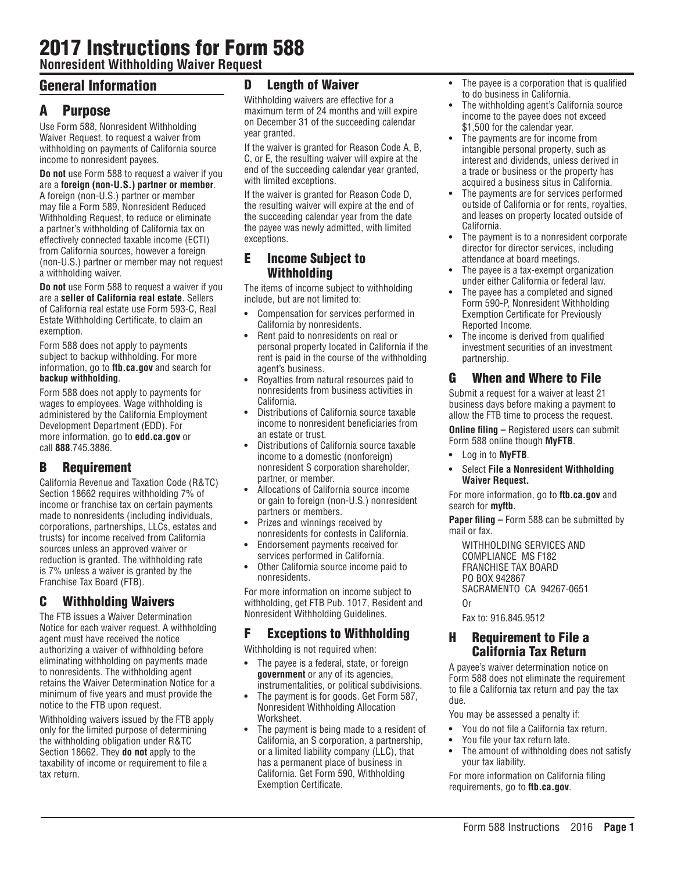# 2017 Instructions for Form 588

**Nonresident Withholding Waiver Request**

# General Information

## A Purpose

Use Form 588, Nonresident Withholding Waiver Request, to request a waiver from withholding on payments of California source income to nonresident payees.

**Do not** use Form 588 to request a waiver if you are a **foreign (non-U.S.) partner or member**. A foreign (non-U.S.) partner or member may file a Form 589, Nonresident Reduced Withholding Request, to reduce or eliminate a partner's withholding of California tax on effectively connected taxable income (ECTI) from California sources, however a foreign (non-U.S.) partner or member may not request a withholding waiver.

**Do not** use Form 588 to request a waiver if you are a **seller of California real estate**. Sellers of California real estate use Form 593-C, Real Estate Withholding Certificate, to claim an exemption.

Form 588 does not apply to payments subject to backup withholding. For more information, go to **ftb.ca.gov** and search for **backup withholding**.

Form 588 does not apply to payments for wages to employees. Wage withholding is administered by the California Employment Development Department (EDD). For more information, go to **edd.ca.gov** or call **888**.745.3886.

## B Requirement

California Revenue and Taxation Code (R&TC) Section 18662 requires withholding 7% of income or franchise tax on certain payments made to nonresidents (including individuals, corporations, partnerships, LLCs, estates and trusts) for income received from California sources unless an approved waiver or reduction is granted. The withholding rate is 7% unless a waiver is granted by the Franchise Tax Board (FTB).

## C Withholding Waivers

The FTB issues a Waiver Determination Notice for each waiver request. A withholding agent must have received the notice authorizing a waiver of withholding before eliminating withholding on payments made to nonresidents. The withholding agent retains the Waiver Determination Notice for a minimum of five years and must provide the notice to the FTB upon request.

Withholding waivers issued by the FTB apply only for the limited purpose of determining the withholding obligation under R&TC Section 18662. They **do not** apply to the taxability of income or requirement to file a tax return.

#### **Length of Waiver**

Withholding waivers are effective for a maximum term of 24 months and will expire on December 31 of the succeeding calendar year granted.

If the waiver is granted for Reason Code A, B, C, or E, the resulting waiver will expire at the end of the succeeding calendar year granted, with limited exceptions.

If the waiver is granted for Reason Code D, the resulting waiver will expire at the end of the succeeding calendar year from the date the payee was newly admitted, with limited exceptions.

#### E Income Subject to Withholding

The items of income subject to withholding include, but are not limited to:

- **•** Compensation for services performed in California by nonresidents.
- **•** Rent paid to nonresidents on real or personal property located in California if the rent is paid in the course of the withholding agent's business.
- **•** Royalties from natural resources paid to nonresidents from business activities in California.
- **•** Distributions of California source taxable income to nonresident beneficiaries from an estate or trust.
- **•** Distributions of California source taxable income to a domestic (nonforeign) nonresident S corporation shareholder, partner, or member.
- **•** Allocations of California source income or gain to foreign (non-U.S.) nonresident partners or members.
- **•** Prizes and winnings received by nonresidents for contests in California.
- **•** Endorsement payments received for services performed in California.
- **•** Other California source income paid to nonresidents.

For more information on income subject to withholding, get FTB Pub. 1017, Resident and Nonresident Withholding Guidelines.

#### F Exceptions to Withholding

Withholding is not required when:

- **•** The payee is a federal, state, or foreign **government** or any of its agencies, instrumentalities, or political subdivisions.
- **•** The payment is for goods. Get Form 587, Nonresident Withholding Allocation Worksheet.
- **•** The payment is being made to a resident of California, an S corporation, a partnership, or a limited liability company (LLC), that has a permanent place of business in California. Get Form 590, Withholding Exemption Certificate.
- **•** The payee is a corporation that is qualified to do business in California.
- **•** The withholding agent's California source income to the payee does not exceed \$1,500 for the calendar year.
- **•** The payments are for income from intangible personal property, such as interest and dividends, unless derived in a trade or business or the property has acquired a business situs in California.
- **•** The payments are for services performed outside of California or for rents, royalties, and leases on property located outside of California.
- **•** The payment is to a nonresident corporate director for director services, including attendance at board meetings.
- **•** The payee is a tax-exempt organization under either California or federal law.
- **•** The payee has a completed and signed Form 590-P, Nonresident Withholding Exemption Certificate for Previously Reported Income.
- **•** The income is derived from qualified investment securities of an investment partnership.

### G When and Where to File

Submit a request for a waiver at least 21 business days before making a payment to allow the FTB time to process the request.

**Online filing –** Registered users can submit Form 588 online though **MyFTB**.

- **•** Log in to **MyFTB**.
- **•** Select **File a Nonresident Withholding Waiver Request.**

For more information, go to **ftb.ca.gov** and search for **myftb**.

**Paper filing –** Form 588 can be submitted by mail or fax.

WITHHOLDING SERVICES AND COMPLIANCE MS F182 FRANCHISE TAX BOARD PO BOX 942867 SACRAMENTO CA 94267-0651 Or

Fax to: 916.845.9512

#### H Requirement to File a California Tax Return

A payee's waiver determination notice on Form 588 does not eliminate the requirement to file a California tax return and pay the tax due.

You may be assessed a penalty if:

- **•** You do not file a California tax return.
- **•** You file your tax return late.
- **•** The amount of withholding does not satisfy your tax liability.

For more information on California filing requirements, go to **ftb.ca.gov**.